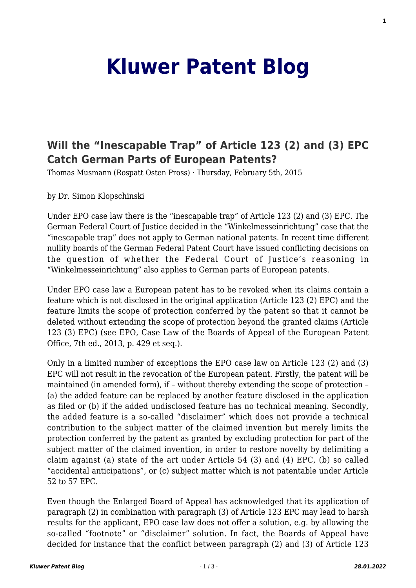## **[Kluwer Patent Blog](http://patentblog.kluweriplaw.com/)**

## **[Will the "Inescapable Trap" of Article 123 \(2\) and \(3\) EPC](http://patentblog.kluweriplaw.com/2015/02/05/will-the-inescapable-trap-of-article-123-2-and-3-epc-catch-german-parts-of-european-patents/) [Catch German Parts of European Patents?](http://patentblog.kluweriplaw.com/2015/02/05/will-the-inescapable-trap-of-article-123-2-and-3-epc-catch-german-parts-of-european-patents/)**

Thomas Musmann (Rospatt Osten Pross) · Thursday, February 5th, 2015

by Dr. Simon Klopschinski

Under EPO case law there is the "inescapable trap" of Article 123 (2) and (3) EPC. The German Federal Court of Justice decided in the "Winkelmesseinrichtung" case that the "inescapable trap" does not apply to German national patents. In recent time different nullity boards of the German Federal Patent Court have issued conflicting decisions on the question of whether the Federal Court of Justice's reasoning in "Winkelmesseinrichtung" also applies to German parts of European patents.

Under EPO case law a European patent has to be revoked when its claims contain a feature which is not disclosed in the original application (Article 123 (2) EPC) and the feature limits the scope of protection conferred by the patent so that it cannot be deleted without extending the scope of protection beyond the granted claims (Article 123 (3) EPC) (see EPO, Case Law of the Boards of Appeal of the European Patent Office, 7th ed., 2013, p. 429 et seq.).

Only in a limited number of exceptions the EPO case law on Article 123 (2) and (3) EPC will not result in the revocation of the European patent. Firstly, the patent will be maintained (in amended form), if – without thereby extending the scope of protection – (a) the added feature can be replaced by another feature disclosed in the application as filed or (b) if the added undisclosed feature has no technical meaning. Secondly, the added feature is a so-called "disclaimer" which does not provide a technical contribution to the subject matter of the claimed invention but merely limits the protection conferred by the patent as granted by excluding protection for part of the subject matter of the claimed invention, in order to restore novelty by delimiting a claim against (a) state of the art under Article 54 (3) and (4) EPC, (b) so called "accidental anticipations", or (c) subject matter which is not patentable under Article 52 to 57 EPC.

Even though the Enlarged Board of Appeal has acknowledged that its application of paragraph (2) in combination with paragraph (3) of Article 123 EPC may lead to harsh results for the applicant, EPO case law does not offer a solution, e.g. by allowing the so-called "footnote" or "disclaimer" solution. In fact, the Boards of Appeal have decided for instance that the conflict between paragraph (2) and (3) of Article 123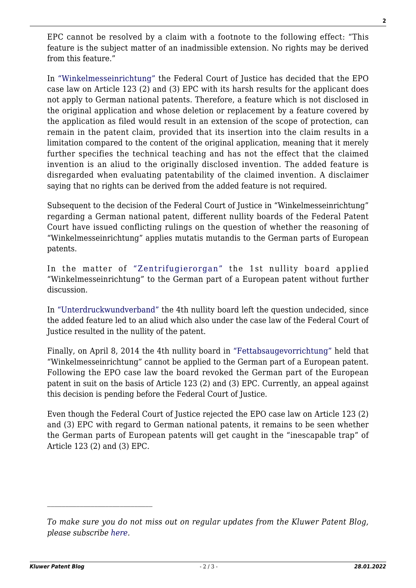EPC cannot be resolved by a claim with a footnote to the following effect: "This feature is the subject matter of an inadmissible extension. No rights may be derived from this feature."

In ["Winkelmesseinrichtung"](http://juris.bundesgerichtshof.de/cgi-bin/rechtsprechung/document.py?Gericht=bgh&Art=en&sid=e9bb3b3c33bb1919dcda85edf253bfbe&nr=53920&pos=3&anz=4) the Federal Court of Justice has decided that the EPO case law on Article 123 (2) and (3) EPC with its harsh results for the applicant does not apply to German national patents. Therefore, a feature which is not disclosed in the original application and whose deletion or replacement by a feature covered by the application as filed would result in an extension of the scope of protection, can remain in the patent claim, provided that its insertion into the claim results in a limitation compared to the content of the original application, meaning that it merely further specifies the technical teaching and has not the effect that the claimed invention is an aliud to the originally disclosed invention. The added feature is disregarded when evaluating patentability of the claimed invention. A disclaimer saying that no rights can be derived from the added feature is not required.

Subsequent to the decision of the Federal Court of Justice in "Winkelmesseinrichtung" regarding a German national patent, different nullity boards of the Federal Patent Court have issued conflicting rulings on the question of whether the reasoning of "Winkelmesseinrichtung" applies mutatis mutandis to the German parts of European patents.

In the matter of ["Zentrifugierorgan"](http://juris.bundespatentgericht.de/cgi-bin/rechtsprechung/document.py?Gericht=bpatg&Art=en&sid=3219e309fdebe79a02750346d05abe9a&nr=23448&pos=0&anz=1&Blank=1.pdf) the 1st nullity board applied "Winkelmesseinrichtung" to the German part of a European patent without further discussion.

In ["Unterdruckwundverband"](http://juris.bundespatentgericht.de/cgi-bin/rechtsprechung/document.py?Gericht=bpatg&Art=en&sid=7850604b2f8eb12cbd8be84e2e0c02aa&nr=24225&pos=7&anz=9&Blank=1.pdf) the 4th nullity board left the question undecided, since the added feature led to an aliud which also under the case law of the Federal Court of Justice resulted in the nullity of the patent.

Finally, on April 8, 2014 the 4th nullity board in ["Fettabsaugevorrichtung"](http://juris.bundespatentgericht.de/cgi-bin/rechtsprechung/document.py?Gericht=bpatg&Art=en&sid=95e605f9572e7be4141e70f9351da99a&nr=26361&pos=0&anz=1&Blank=1.pdf) held that "Winkelmesseinrichtung" cannot be applied to the German part of a European patent. Following the EPO case law the board revoked the German part of the European patent in suit on the basis of Article 123 (2) and (3) EPC. Currently, an appeal against this decision is pending before the Federal Court of Justice.

Even though the Federal Court of Justice rejected the EPO case law on Article 123 (2) and (3) EPC with regard to German national patents, it remains to be seen whether the German parts of European patents will get caught in the "inescapable trap" of Article 123 (2) and (3) EPC.

*To make sure you do not miss out on regular updates from the Kluwer Patent Blog, please subscribe [here.](http://patentblog.kluweriplaw.com/newsletter)*